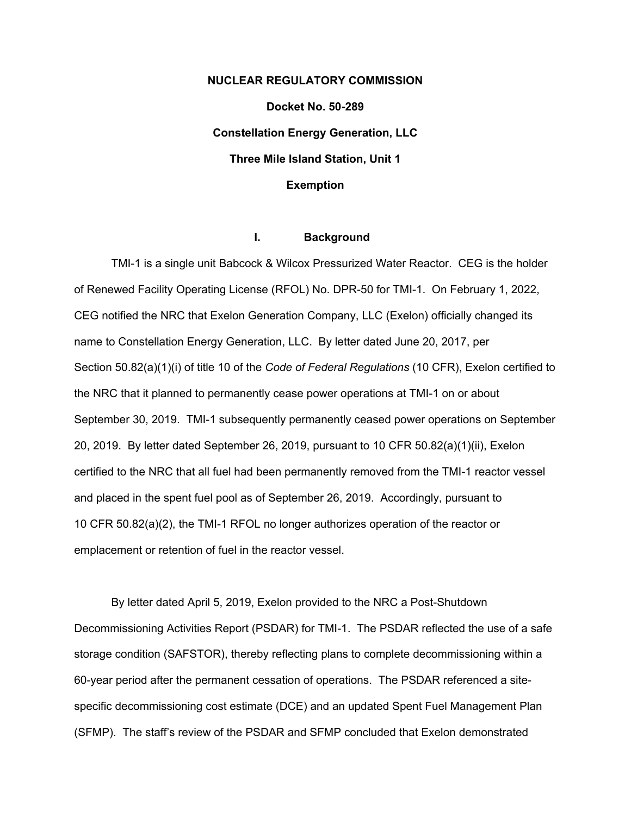# **NUCLEAR REGULATORY COMMISSION Docket No. 50-289 Constellation Energy Generation, LLC Three Mile Island Station, Unit 1 Exemption**

## **I. Background**

TMI-1 is a single unit Babcock & Wilcox Pressurized Water Reactor. CEG is the holder of Renewed Facility Operating License (RFOL) No. DPR-50 for TMI-1. On February 1, 2022, CEG notified the NRC that Exelon Generation Company, LLC (Exelon) officially changed its name to Constellation Energy Generation, LLC. By letter dated June 20, 2017, per Section 50.82(a)(1)(i) of title 10 of the *Code of Federal Regulations* (10 CFR), Exelon certified to the NRC that it planned to permanently cease power operations at TMI-1 on or about September 30, 2019. TMI-1 subsequently permanently ceased power operations on September 20, 2019. By letter dated September 26, 2019, pursuant to 10 CFR 50.82(a)(1)(ii), Exelon certified to the NRC that all fuel had been permanently removed from the TMI-1 reactor vessel and placed in the spent fuel pool as of September 26, 2019. Accordingly, pursuant to 10 CFR 50.82(a)(2), the TMI-1 RFOL no longer authorizes operation of the reactor or emplacement or retention of fuel in the reactor vessel.

By letter dated April 5, 2019, Exelon provided to the NRC a Post-Shutdown Decommissioning Activities Report (PSDAR) for TMI-1. The PSDAR reflected the use of a safe storage condition (SAFSTOR), thereby reflecting plans to complete decommissioning within a 60-year period after the permanent cessation of operations. The PSDAR referenced a sitespecific decommissioning cost estimate (DCE) and an updated Spent Fuel Management Plan (SFMP). The staff's review of the PSDAR and SFMP concluded that Exelon demonstrated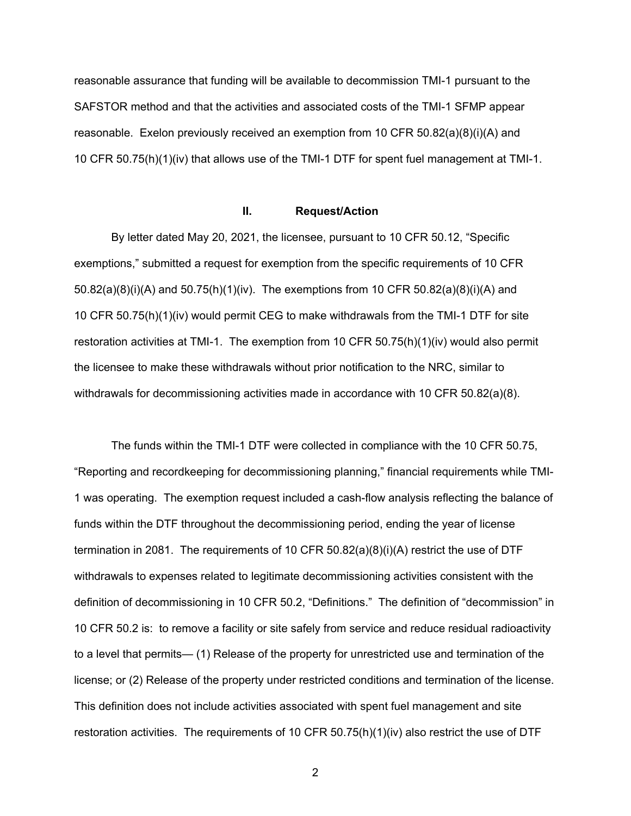reasonable assurance that funding will be available to decommission TMI-1 pursuant to the SAFSTOR method and that the activities and associated costs of the TMI-1 SFMP appear reasonable. Exelon previously received an exemption from 10 CFR 50.82(a)(8)(i)(A) and 10 CFR 50.75(h)(1)(iv) that allows use of the TMI-1 DTF for spent fuel management at TMI-1.

## **II. Request/Action**

By letter dated May 20, 2021, the licensee, pursuant to 10 CFR 50.12, "Specific exemptions," submitted a request for exemption from the specific requirements of 10 CFR 50.82(a)(8)(i)(A) and 50.75(h)(1)(iv). The exemptions from 10 CFR 50.82(a)(8)(i)(A) and 10 CFR 50.75(h)(1)(iv) would permit CEG to make withdrawals from the TMI-1 DTF for site restoration activities at TMI-1. The exemption from 10 CFR 50.75(h)(1)(iv) would also permit the licensee to make these withdrawals without prior notification to the NRC, similar to withdrawals for decommissioning activities made in accordance with 10 CFR 50.82(a)(8).

The funds within the TMI-1 DTF were collected in compliance with the 10 CFR 50.75, "Reporting and recordkeeping for decommissioning planning," financial requirements while TMI-1 was operating. The exemption request included a cash-flow analysis reflecting the balance of funds within the DTF throughout the decommissioning period, ending the year of license termination in 2081. The requirements of 10 CFR 50.82(a)(8)(i)(A) restrict the use of DTF withdrawals to expenses related to legitimate decommissioning activities consistent with the definition of decommissioning in 10 CFR 50.2, "Definitions." The definition of "decommission" in 10 CFR 50.2 is: to remove a facility or site safely from service and reduce residual radioactivity to a level that permits— (1) Release of the property for unrestricted use and termination of the license; or (2) Release of the property under restricted conditions and termination of the license. This definition does not include activities associated with spent fuel management and site restoration activities. The requirements of 10 CFR 50.75(h)(1)(iv) also restrict the use of DTF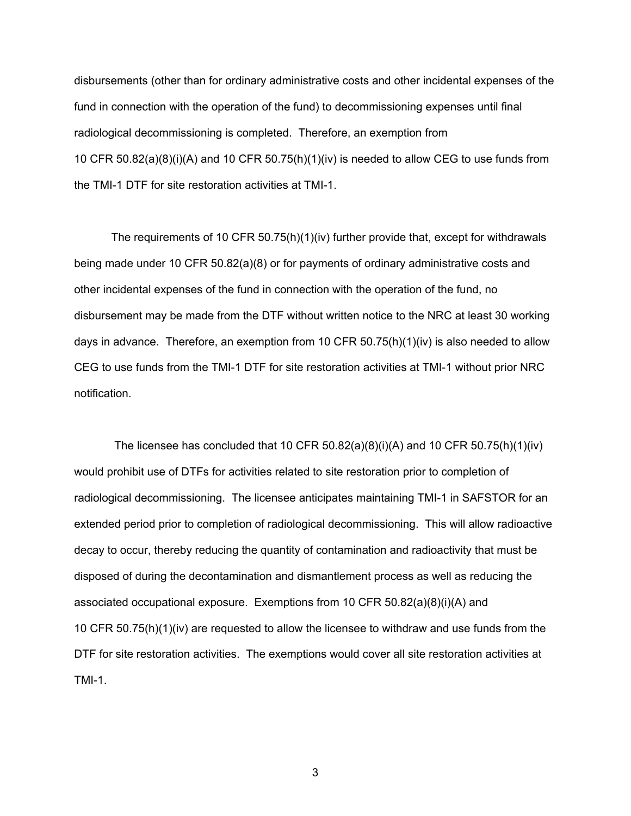disbursements (other than for ordinary administrative costs and other incidental expenses of the fund in connection with the operation of the fund) to decommissioning expenses until final radiological decommissioning is completed. Therefore, an exemption from 10 CFR 50.82(a)(8)(i)(A) and 10 CFR 50.75(h)(1)(iv) is needed to allow CEG to use funds from the TMI-1 DTF for site restoration activities at TMI-1.

The requirements of 10 CFR 50.75(h)(1)(iv) further provide that, except for withdrawals being made under 10 CFR 50.82(a)(8) or for payments of ordinary administrative costs and other incidental expenses of the fund in connection with the operation of the fund, no disbursement may be made from the DTF without written notice to the NRC at least 30 working days in advance. Therefore, an exemption from 10 CFR  $50.75(h)(1)(iv)$  is also needed to allow CEG to use funds from the TMI-1 DTF for site restoration activities at TMI-1 without prior NRC notification.

The licensee has concluded that 10 CFR  $50.82(a)(8)(i)(A)$  and 10 CFR  $50.75(h)(1)(iv)$ would prohibit use of DTFs for activities related to site restoration prior to completion of radiological decommissioning. The licensee anticipates maintaining TMI-1 in SAFSTOR for an extended period prior to completion of radiological decommissioning. This will allow radioactive decay to occur, thereby reducing the quantity of contamination and radioactivity that must be disposed of during the decontamination and dismantlement process as well as reducing the associated occupational exposure. Exemptions from 10 CFR 50.82(a)(8)(i)(A) and 10 CFR 50.75(h)(1)(iv) are requested to allow the licensee to withdraw and use funds from the DTF for site restoration activities. The exemptions would cover all site restoration activities at TMI-1.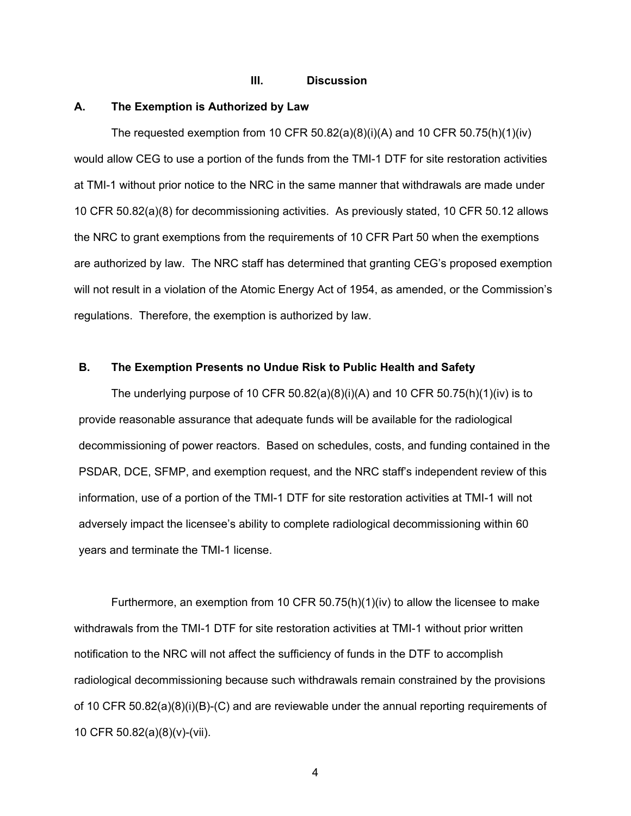## **III. Discussion**

#### **A. The Exemption is Authorized by Law**

The requested exemption from 10 CFR  $50.82(a)(8)(i)(A)$  and 10 CFR  $50.75(h)(1)(iv)$ would allow CEG to use a portion of the funds from the TMI-1 DTF for site restoration activities at TMI-1 without prior notice to the NRC in the same manner that withdrawals are made under 10 CFR 50.82(a)(8) for decommissioning activities. As previously stated, 10 CFR 50.12 allows the NRC to grant exemptions from the requirements of 10 CFR Part 50 when the exemptions are authorized by law. The NRC staff has determined that granting CEG's proposed exemption will not result in a violation of the Atomic Energy Act of 1954, as amended, or the Commission's regulations. Therefore, the exemption is authorized by law.

#### **B. The Exemption Presents no Undue Risk to Public Health and Safety**

The underlying purpose of 10 CFR  $50.82(a)(8)(i)(A)$  and 10 CFR  $50.75(h)(1)(iv)$  is to provide reasonable assurance that adequate funds will be available for the radiological decommissioning of power reactors. Based on schedules, costs, and funding contained in the PSDAR, DCE, SFMP, and exemption request, and the NRC staff's independent review of this information, use of a portion of the TMI-1 DTF for site restoration activities at TMI-1 will not adversely impact the licensee's ability to complete radiological decommissioning within 60 years and terminate the TMI-1 license.

Furthermore, an exemption from 10 CFR 50.75(h)(1)(iv) to allow the licensee to make withdrawals from the TMI-1 DTF for site restoration activities at TMI-1 without prior written notification to the NRC will not affect the sufficiency of funds in the DTF to accomplish radiological decommissioning because such withdrawals remain constrained by the provisions of 10 CFR 50.82(a)(8)(i)(B)-(C) and are reviewable under the annual reporting requirements of 10 CFR 50.82(a)(8)(v)-(vii).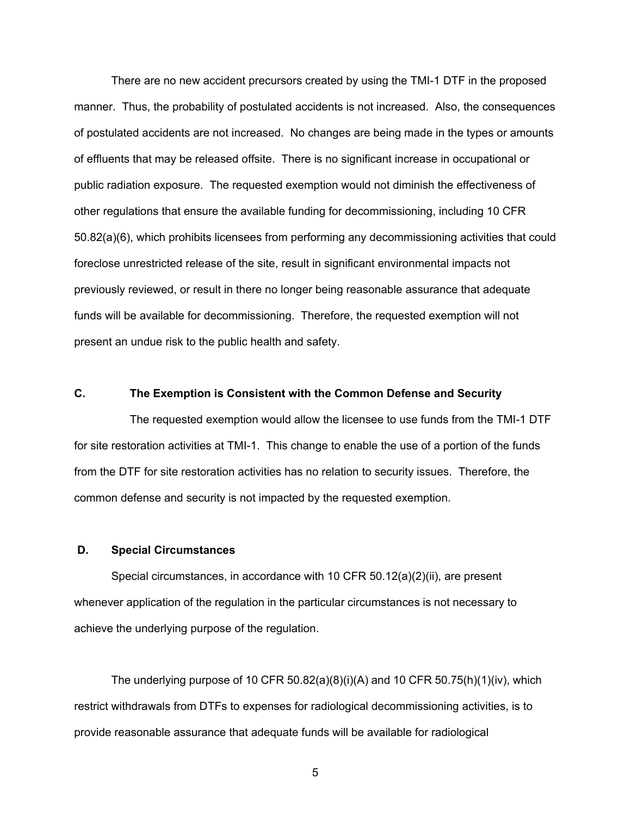There are no new accident precursors created by using the TMI-1 DTF in the proposed manner. Thus, the probability of postulated accidents is not increased. Also, the consequences of postulated accidents are not increased. No changes are being made in the types or amounts of effluents that may be released offsite. There is no significant increase in occupational or public radiation exposure. The requested exemption would not diminish the effectiveness of other regulations that ensure the available funding for decommissioning, including 10 CFR 50.82(a)(6), which prohibits licensees from performing any decommissioning activities that could foreclose unrestricted release of the site, result in significant environmental impacts not previously reviewed, or result in there no longer being reasonable assurance that adequate funds will be available for decommissioning. Therefore, the requested exemption will not present an undue risk to the public health and safety.

# **C. The Exemption is Consistent with the Common Defense and Security**

The requested exemption would allow the licensee to use funds from the TMI-1 DTF for site restoration activities at TMI-1. This change to enable the use of a portion of the funds from the DTF for site restoration activities has no relation to security issues. Therefore, the common defense and security is not impacted by the requested exemption.

# **D. Special Circumstances**

Special circumstances, in accordance with 10 CFR 50.12(a)(2)(ii), are present whenever application of the regulation in the particular circumstances is not necessary to achieve the underlying purpose of the regulation.

The underlying purpose of 10 CFR  $50.82(a)(8)(i)(A)$  and 10 CFR  $50.75(h)(1)(iv)$ , which restrict withdrawals from DTFs to expenses for radiological decommissioning activities, is to provide reasonable assurance that adequate funds will be available for radiological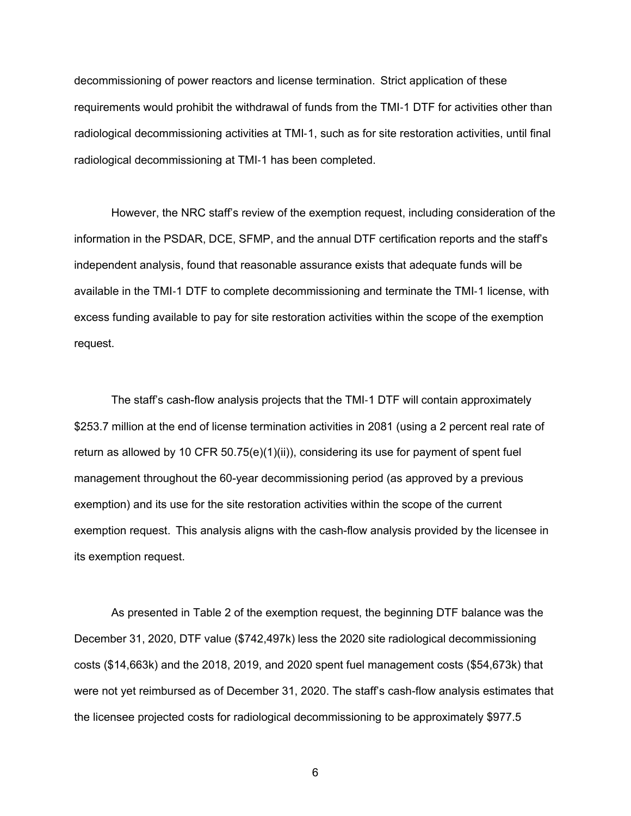decommissioning of power reactors and license termination. Strict application of these requirements would prohibit the withdrawal of funds from the TMI-1 DTF for activities other than radiological decommissioning activities at TMI-1, such as for site restoration activities, until final radiological decommissioning at TMI-1 has been completed.

However, the NRC staff's review of the exemption request, including consideration of the information in the PSDAR, DCE, SFMP, and the annual DTF certification reports and the staff's independent analysis, found that reasonable assurance exists that adequate funds will be available in the TMI-1 DTF to complete decommissioning and terminate the TMI-1 license, with excess funding available to pay for site restoration activities within the scope of the exemption request.

The staff's cash-flow analysis projects that the TMI-1 DTF will contain approximately \$253.7 million at the end of license termination activities in 2081 (using a 2 percent real rate of return as allowed by 10 CFR  $50.75(e)(1)(ii)$ , considering its use for payment of spent fuel management throughout the 60-year decommissioning period (as approved by a previous exemption) and its use for the site restoration activities within the scope of the current exemption request. This analysis aligns with the cash-flow analysis provided by the licensee in its exemption request.

As presented in Table 2 of the exemption request, the beginning DTF balance was the December 31, 2020, DTF value (\$742,497k) less the 2020 site radiological decommissioning costs (\$14,663k) and the 2018, 2019, and 2020 spent fuel management costs (\$54,673k) that were not yet reimbursed as of December 31, 2020. The staff's cash-flow analysis estimates that the licensee projected costs for radiological decommissioning to be approximately \$977.5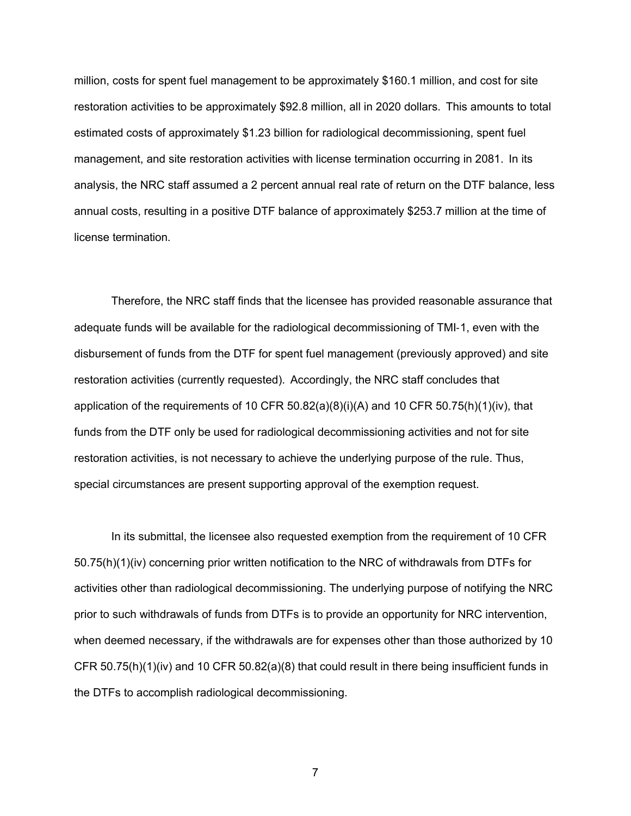million, costs for spent fuel management to be approximately \$160.1 million, and cost for site restoration activities to be approximately \$92.8 million, all in 2020 dollars. This amounts to total estimated costs of approximately \$1.23 billion for radiological decommissioning, spent fuel management, and site restoration activities with license termination occurring in 2081. In its analysis, the NRC staff assumed a 2 percent annual real rate of return on the DTF balance, less annual costs, resulting in a positive DTF balance of approximately \$253.7 million at the time of license termination.

Therefore, the NRC staff finds that the licensee has provided reasonable assurance that adequate funds will be available for the radiological decommissioning of TMI-1, even with the disbursement of funds from the DTF for spent fuel management (previously approved) and site restoration activities (currently requested). Accordingly, the NRC staff concludes that application of the requirements of 10 CFR  $50.82(a)(8)(i)(A)$  and 10 CFR  $50.75(h)(1)(iv)$ , that funds from the DTF only be used for radiological decommissioning activities and not for site restoration activities, is not necessary to achieve the underlying purpose of the rule. Thus, special circumstances are present supporting approval of the exemption request.

In its submittal, the licensee also requested exemption from the requirement of 10 CFR 50.75(h)(1)(iv) concerning prior written notification to the NRC of withdrawals from DTFs for activities other than radiological decommissioning. The underlying purpose of notifying the NRC prior to such withdrawals of funds from DTFs is to provide an opportunity for NRC intervention, when deemed necessary, if the withdrawals are for expenses other than those authorized by 10 CFR 50.75(h)(1)(iv) and 10 CFR 50.82(a)(8) that could result in there being insufficient funds in the DTFs to accomplish radiological decommissioning.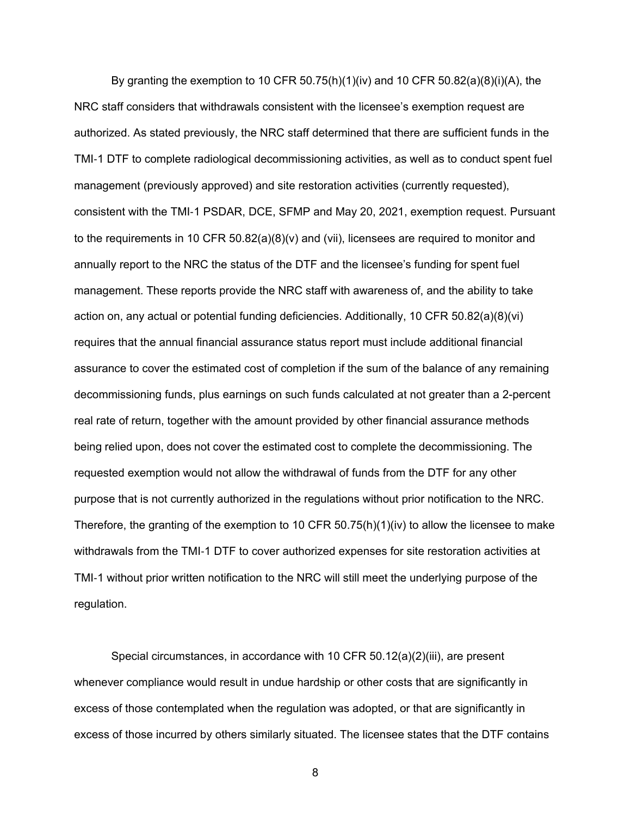By granting the exemption to 10 CFR 50.75(h)(1)(iv) and 10 CFR 50.82(a)(8)(i)(A), the NRC staff considers that withdrawals consistent with the licensee's exemption request are authorized. As stated previously, the NRC staff determined that there are sufficient funds in the TMI-1 DTF to complete radiological decommissioning activities, as well as to conduct spent fuel management (previously approved) and site restoration activities (currently requested), consistent with the TMI-1 PSDAR, DCE, SFMP and May 20, 2021, exemption request. Pursuant to the requirements in 10 CFR 50.82(a)(8)(v) and (vii), licensees are required to monitor and annually report to the NRC the status of the DTF and the licensee's funding for spent fuel management. These reports provide the NRC staff with awareness of, and the ability to take action on, any actual or potential funding deficiencies. Additionally, 10 CFR 50.82(a)(8)(vi) requires that the annual financial assurance status report must include additional financial assurance to cover the estimated cost of completion if the sum of the balance of any remaining decommissioning funds, plus earnings on such funds calculated at not greater than a 2-percent real rate of return, together with the amount provided by other financial assurance methods being relied upon, does not cover the estimated cost to complete the decommissioning. The requested exemption would not allow the withdrawal of funds from the DTF for any other purpose that is not currently authorized in the regulations without prior notification to the NRC. Therefore, the granting of the exemption to 10 CFR  $50.75(h)(1)(iv)$  to allow the licensee to make withdrawals from the TMI-1 DTF to cover authorized expenses for site restoration activities at TMI-1 without prior written notification to the NRC will still meet the underlying purpose of the regulation.

Special circumstances, in accordance with 10 CFR 50.12(a)(2)(iii), are present whenever compliance would result in undue hardship or other costs that are significantly in excess of those contemplated when the regulation was adopted, or that are significantly in excess of those incurred by others similarly situated. The licensee states that the DTF contains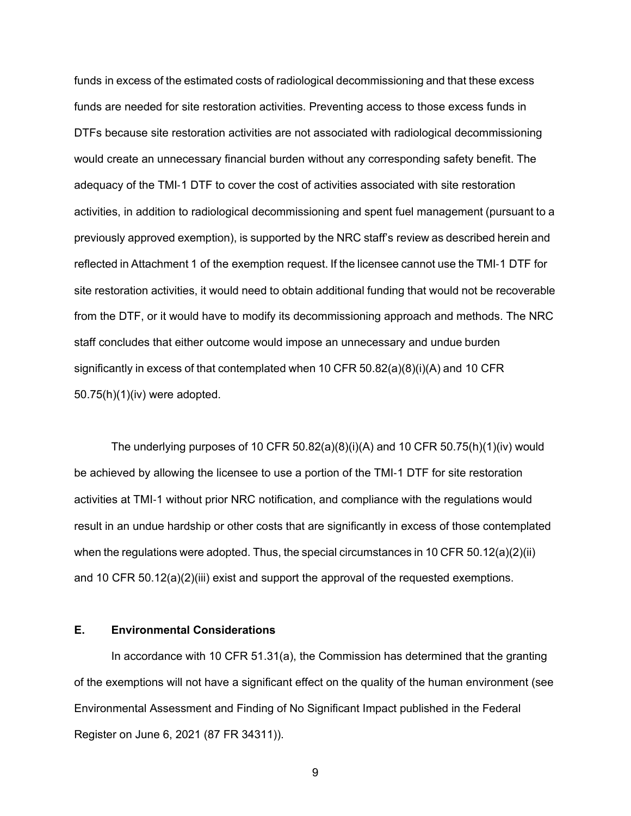funds in excess of the estimated costs of radiological decommissioning and that these excess funds are needed for site restoration activities. Preventing access to those excess funds in DTFs because site restoration activities are not associated with radiological decommissioning would create an unnecessary financial burden without any corresponding safety benefit. The adequacy of the TMI-1 DTF to cover the cost of activities associated with site restoration activities, in addition to radiological decommissioning and spent fuel management (pursuant to a previously approved exemption), is supported by the NRC staff's review as described herein and reflected in Attachment 1 of the exemption request. If the licensee cannot use the TMI-1 DTF for site restoration activities, it would need to obtain additional funding that would not be recoverable from the DTF, or it would have to modify its decommissioning approach and methods. The NRC staff concludes that either outcome would impose an unnecessary and undue burden significantly in excess of that contemplated when 10 CFR 50.82(a)(8)(i)(A) and 10 CFR 50.75(h)(1)(iv) were adopted.

The underlying purposes of 10 CFR  $50.82(a)(8)(i)(A)$  and 10 CFR  $50.75(h)(1)(iv)$  would be achieved by allowing the licensee to use a portion of the TMI-1 DTF for site restoration activities at TMI-1 without prior NRC notification, and compliance with the regulations would result in an undue hardship or other costs that are significantly in excess of those contemplated when the regulations were adopted. Thus, the special circumstances in 10 CFR 50.12(a)(2)(ii) and 10 CFR 50.12(a)(2)(iii) exist and support the approval of the requested exemptions.

# **E. Environmental Considerations**

In accordance with 10 CFR 51.31(a), the Commission has determined that the granting of the exemptions will not have a significant effect on the quality of the human environment (see Environmental Assessment and Finding of No Significant Impact published in the Federal Register on June 6, 2021 (87 FR 34311)).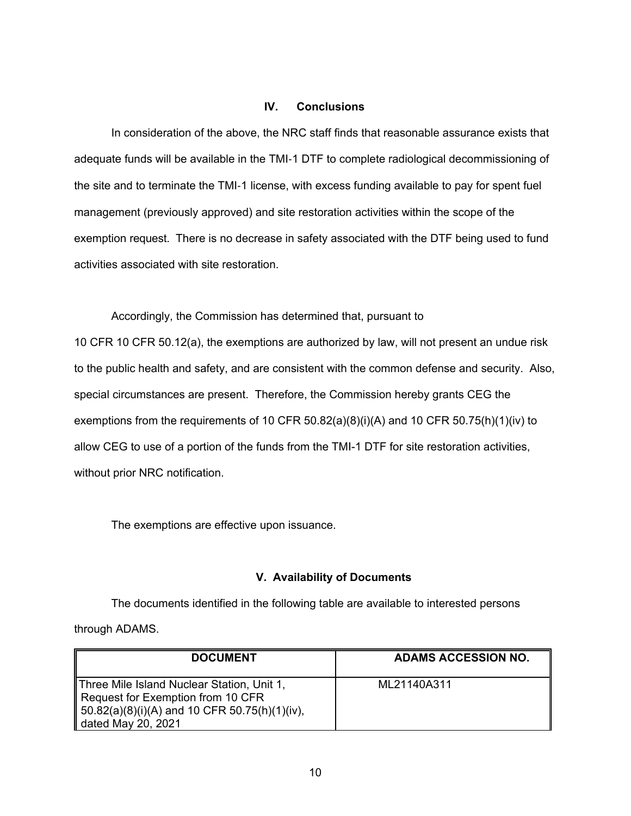#### **IV. Conclusions**

In consideration of the above, the NRC staff finds that reasonable assurance exists that adequate funds will be available in the TMI-1 DTF to complete radiological decommissioning of the site and to terminate the TMI-1 license, with excess funding available to pay for spent fuel management (previously approved) and site restoration activities within the scope of the exemption request. There is no decrease in safety associated with the DTF being used to fund activities associated with site restoration.

Accordingly, the Commission has determined that, pursuant to 10 CFR 10 CFR 50.12(a), the exemptions are authorized by law, will not present an undue risk to the public health and safety, and are consistent with the common defense and security. Also, special circumstances are present. Therefore, the Commission hereby grants CEG the exemptions from the requirements of 10 CFR 50.82(a)(8)(i)(A) and 10 CFR 50.75(h)(1)(iv) to allow CEG to use of a portion of the funds from the TMI-1 DTF for site restoration activities, without prior NRC notification.

The exemptions are effective upon issuance.

# **V. Availability of Documents**

The documents identified in the following table are available to interested persons through ADAMS.

| <b>DOCUMENT</b>                                                                                                                                           | <b>ADAMS ACCESSION NO.</b> |
|-----------------------------------------------------------------------------------------------------------------------------------------------------------|----------------------------|
| Three Mile Island Nuclear Station, Unit 1,<br>Request for Exemption from 10 CFR<br>   50.82(a)(8)(i)(A) and 10 CFR 50.75(h)(1)(iv),<br>dated May 20, 2021 | ML21140A311                |